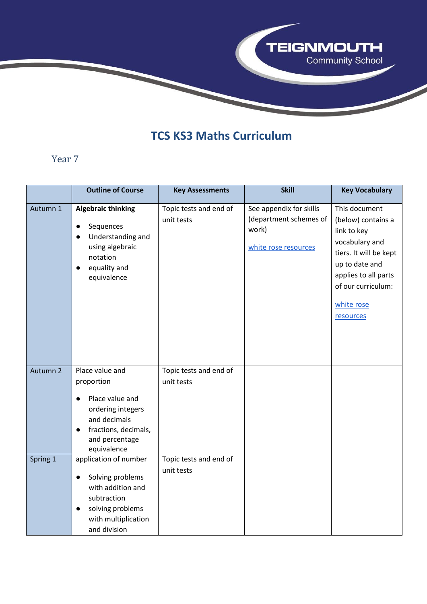

# **TCS KS3 Maths Curriculum**

#### Year 7

|          | <b>Outline of Course</b>                                                                                                                                                 | <b>Key Assessments</b>               | <b>Skill</b>                                                                       | <b>Key Vocabulary</b>                                                                                                                                                                     |
|----------|--------------------------------------------------------------------------------------------------------------------------------------------------------------------------|--------------------------------------|------------------------------------------------------------------------------------|-------------------------------------------------------------------------------------------------------------------------------------------------------------------------------------------|
| Autumn 1 | <b>Algebraic thinking</b><br>Sequences<br>$\bullet$<br>Understanding and<br>$\bullet$<br>using algebraic<br>notation<br>equality and<br>$\bullet$<br>equivalence         | Topic tests and end of<br>unit tests | See appendix for skills<br>(department schemes of<br>work)<br>white rose resources | This document<br>(below) contains a<br>link to key<br>vocabulary and<br>tiers. It will be kept<br>up to date and<br>applies to all parts<br>of our curriculum:<br>white rose<br>resources |
| Autumn 2 | Place value and<br>proportion<br>Place value and<br>$\bullet$<br>ordering integers<br>and decimals<br>fractions, decimals,<br>$\bullet$<br>and percentage<br>equivalence | Topic tests and end of<br>unit tests |                                                                                    |                                                                                                                                                                                           |
| Spring 1 | application of number<br>Solving problems<br>$\bullet$<br>with addition and<br>subtraction<br>solving problems<br>$\bullet$<br>with multiplication<br>and division       | Topic tests and end of<br>unit tests |                                                                                    |                                                                                                                                                                                           |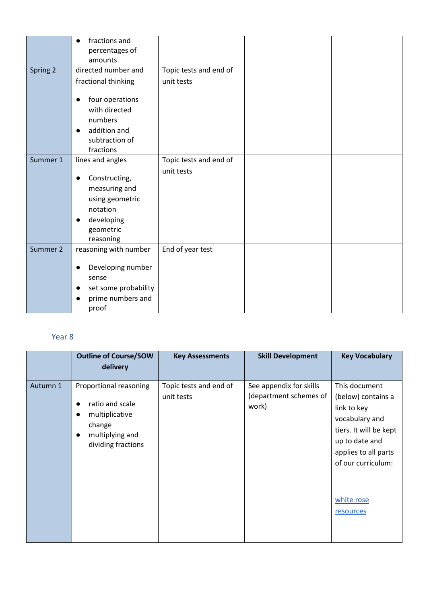|          | fractions and<br>$\bullet$                                                                                                      |                        |  |
|----------|---------------------------------------------------------------------------------------------------------------------------------|------------------------|--|
|          | percentages of                                                                                                                  |                        |  |
|          | amounts                                                                                                                         |                        |  |
| Spring 2 | directed number and                                                                                                             | Topic tests and end of |  |
|          | fractional thinking                                                                                                             | unit tests             |  |
|          | four operations<br>with directed<br>numbers<br>addition and<br>$\bullet$<br>subtraction of<br>fractions                         |                        |  |
| Summer 1 | lines and angles                                                                                                                | Topic tests and end of |  |
|          | Constructing,<br>$\bullet$<br>measuring and<br>using geometric<br>notation<br>developing<br>$\bullet$<br>geometric<br>reasoning | unit tests             |  |
| Summer 2 | reasoning with number<br>Developing number<br>$\bullet$<br>sense<br>set some probability<br>$\bullet$<br>prime numbers and      | End of year test       |  |
|          | proof                                                                                                                           |                        |  |

#### Year 8

|          | <b>Outline of Course/SOW</b><br>delivery                                                                                                              | <b>Key Assessments</b>               | <b>Skill Development</b>                                   | <b>Key Vocabulary</b>                                                                                                                                                                     |
|----------|-------------------------------------------------------------------------------------------------------------------------------------------------------|--------------------------------------|------------------------------------------------------------|-------------------------------------------------------------------------------------------------------------------------------------------------------------------------------------------|
| Autumn 1 | Proportional reasoning<br>ratio and scale<br>$\bullet$<br>multiplicative<br>$\bullet$<br>change<br>multiplying and<br>$\bullet$<br>dividing fractions | Topic tests and end of<br>unit tests | See appendix for skills<br>(department schemes of<br>work) | This document<br>(below) contains a<br>link to key<br>vocabulary and<br>tiers. It will be kept<br>up to date and<br>applies to all parts<br>of our curriculum:<br>white rose<br>resources |
|          |                                                                                                                                                       |                                      |                                                            |                                                                                                                                                                                           |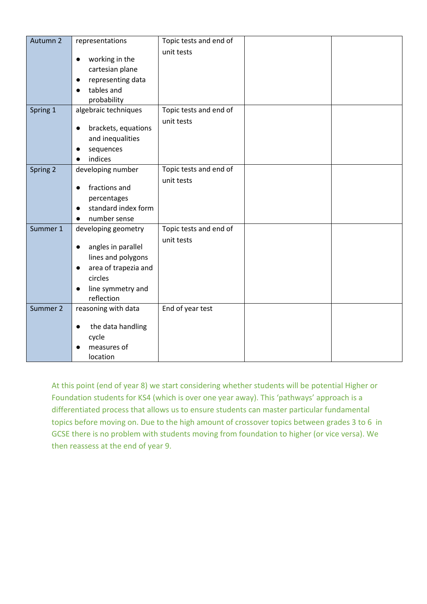| Autumn 2 | representations                   | Topic tests and end of |  |
|----------|-----------------------------------|------------------------|--|
|          |                                   | unit tests             |  |
|          | working in the<br>$\bullet$       |                        |  |
|          | cartesian plane                   |                        |  |
|          | representing data<br>$\bullet$    |                        |  |
|          | tables and                        |                        |  |
|          | probability                       |                        |  |
| Spring 1 | algebraic techniques              | Topic tests and end of |  |
|          |                                   | unit tests             |  |
|          | brackets, equations<br>$\bullet$  |                        |  |
|          | and inequalities                  |                        |  |
|          | sequences                         |                        |  |
|          | indices<br>$\bullet$              |                        |  |
| Spring 2 | developing number                 | Topic tests and end of |  |
|          |                                   | unit tests             |  |
|          | fractions and<br>$\bullet$        |                        |  |
|          | percentages                       |                        |  |
|          | standard index form<br>$\bullet$  |                        |  |
|          | number sense                      |                        |  |
| Summer 1 | developing geometry               | Topic tests and end of |  |
|          | angles in parallel<br>$\bullet$   | unit tests             |  |
|          |                                   |                        |  |
|          | lines and polygons                |                        |  |
|          | area of trapezia and<br>$\bullet$ |                        |  |
|          | circles                           |                        |  |
|          | line symmetry and<br>$\bullet$    |                        |  |
| Summer 2 | reflection                        |                        |  |
|          | reasoning with data               | End of year test       |  |
|          | the data handling<br>$\bullet$    |                        |  |
|          | cycle                             |                        |  |
|          | measures of                       |                        |  |
|          | location                          |                        |  |

At this point (end of year 8) we start considering whether students will be potential Higher or Foundation students for KS4 (which is over one year away). This 'pathways' approach is a differentiated process that allows us to ensure students can master particular fundamental topics before moving on. Due to the high amount of crossover topics between grades 3 to 6 in GCSE there is no problem with students moving from foundation to higher (or vice versa). We then reassess at the end of year 9.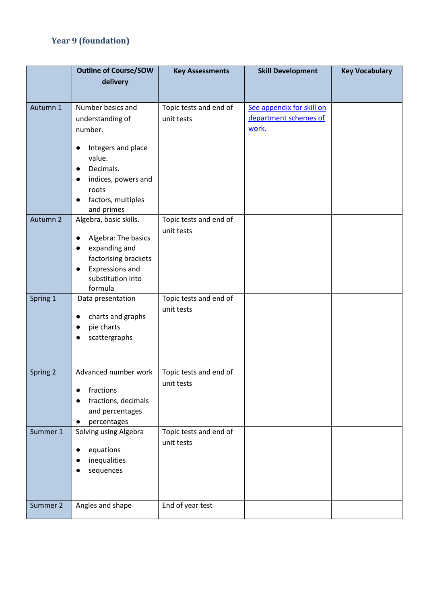# **Year 9 (foundation)**

|          | <b>Outline of Course/SOW</b>        | <b>Key Assessments</b> | <b>Skill Development</b>  | <b>Key Vocabulary</b> |  |  |
|----------|-------------------------------------|------------------------|---------------------------|-----------------------|--|--|
|          | delivery                            |                        |                           |                       |  |  |
|          |                                     |                        |                           |                       |  |  |
| Autumn 1 | Number basics and                   | Topic tests and end of | See appendix for skill on |                       |  |  |
|          | understanding of                    | unit tests             | department schemes of     |                       |  |  |
|          | number.                             |                        | work.                     |                       |  |  |
|          | Integers and place<br>$\bullet$     |                        |                           |                       |  |  |
|          | value.                              |                        |                           |                       |  |  |
|          | Decimals.<br>$\bullet$              |                        |                           |                       |  |  |
|          | indices, powers and<br>$\bullet$    |                        |                           |                       |  |  |
|          | roots                               |                        |                           |                       |  |  |
|          | factors, multiples<br>$\bullet$     |                        |                           |                       |  |  |
|          | and primes                          |                        |                           |                       |  |  |
| Autumn 2 | Algebra, basic skills.              | Topic tests and end of |                           |                       |  |  |
|          | Algebra: The basics<br>$\bullet$    | unit tests             |                           |                       |  |  |
|          | expanding and<br>$\bullet$          |                        |                           |                       |  |  |
|          | factorising brackets                |                        |                           |                       |  |  |
|          | <b>Expressions and</b><br>$\bullet$ |                        |                           |                       |  |  |
|          | substitution into<br>formula        |                        |                           |                       |  |  |
| Spring 1 | Data presentation                   | Topic tests and end of |                           |                       |  |  |
|          |                                     | unit tests             |                           |                       |  |  |
|          | charts and graphs<br>$\bullet$      |                        |                           |                       |  |  |
|          | pie charts<br>$\bullet$             |                        |                           |                       |  |  |
|          | scattergraphs<br>$\bullet$          |                        |                           |                       |  |  |
|          |                                     |                        |                           |                       |  |  |
|          |                                     |                        |                           |                       |  |  |
| Spring 2 | Advanced number work                | Topic tests and end of |                           |                       |  |  |
|          | fractions<br>$\bullet$              | unit tests             |                           |                       |  |  |
|          | fractions, decimals                 |                        |                           |                       |  |  |
|          | and percentages                     |                        |                           |                       |  |  |
|          | percentages<br>$\bullet$            |                        |                           |                       |  |  |
| Summer 1 | Solving using Algebra               | Topic tests and end of |                           |                       |  |  |
|          | equations<br>$\bullet$              | unit tests             |                           |                       |  |  |
|          | inequalities                        |                        |                           |                       |  |  |
|          | sequences                           |                        |                           |                       |  |  |
|          |                                     |                        |                           |                       |  |  |
|          |                                     |                        |                           |                       |  |  |
| Summer 2 | Angles and shape                    | End of year test       |                           |                       |  |  |
|          |                                     |                        |                           |                       |  |  |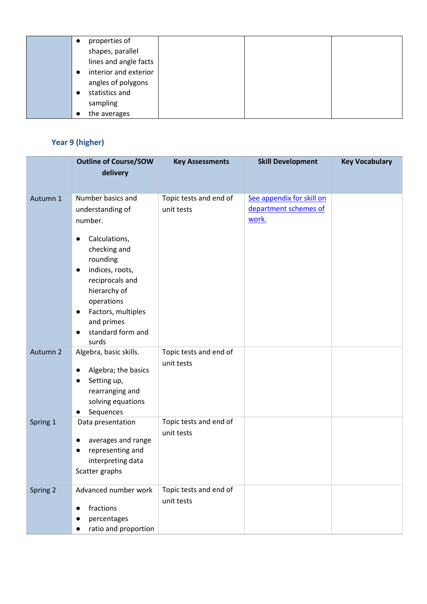| $\bullet$ | properties of         |
|-----------|-----------------------|
|           | shapes, parallel      |
|           | lines and angle facts |
|           | interior and exterior |
|           | angles of polygons    |
|           | statistics and        |
|           | sampling              |
|           | the averages          |

### **Year 9 (higher)**

|          | <b>Outline of Course/SOW</b>                                                                                                                                                                                                                                      | <b>Key Assessments</b>               | <b>Skill Development</b>                                    | <b>Key Vocabulary</b> |
|----------|-------------------------------------------------------------------------------------------------------------------------------------------------------------------------------------------------------------------------------------------------------------------|--------------------------------------|-------------------------------------------------------------|-----------------------|
|          | delivery                                                                                                                                                                                                                                                          |                                      |                                                             |                       |
| Autumn 1 | Number basics and<br>understanding of<br>number.<br>Calculations,<br>$\bullet$<br>checking and<br>rounding<br>indices, roots,<br>$\bullet$<br>reciprocals and<br>hierarchy of<br>operations<br>Factors, multiples<br>$\bullet$<br>and primes<br>standard form and | Topic tests and end of<br>unit tests | See appendix for skill on<br>department schemes of<br>work. |                       |
|          | $\bullet$<br>surds                                                                                                                                                                                                                                                |                                      |                                                             |                       |
| Autumn 2 | Algebra, basic skills.<br>Algebra; the basics<br>$\bullet$<br>Setting up,<br>$\bullet$<br>rearranging and<br>solving equations<br>Sequences<br>$\bullet$                                                                                                          | Topic tests and end of<br>unit tests |                                                             |                       |
| Spring 1 | Data presentation<br>averages and range<br>$\bullet$<br>representing and<br>$\bullet$<br>interpreting data<br>Scatter graphs                                                                                                                                      | Topic tests and end of<br>unit tests |                                                             |                       |
| Spring 2 | Advanced number work<br>fractions<br>$\bullet$<br>percentages<br>ratio and proportion<br>$\bullet$                                                                                                                                                                | Topic tests and end of<br>unit tests |                                                             |                       |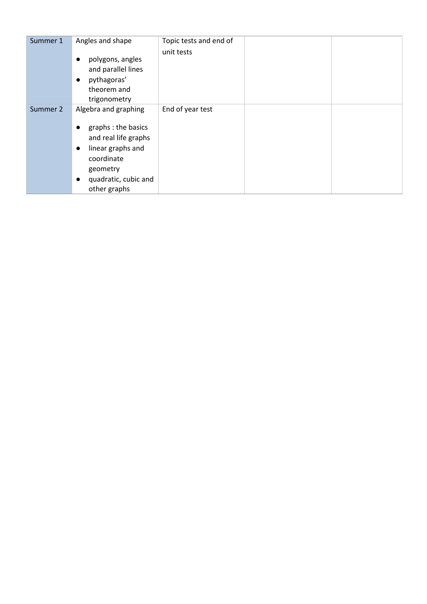| Summer 1 | Angles and shape                                                                                                                                                          | Topic tests and end of |  |
|----------|---------------------------------------------------------------------------------------------------------------------------------------------------------------------------|------------------------|--|
|          | polygons, angles<br>$\bullet$<br>and parallel lines<br>pythagoras'<br>$\bullet$<br>theorem and<br>trigonometry                                                            | unit tests             |  |
| Summer 2 | Algebra and graphing                                                                                                                                                      | End of year test       |  |
|          | graphs : the basics<br>$\bullet$<br>and real life graphs<br>linear graphs and<br>$\bullet$<br>coordinate<br>geometry<br>quadratic, cubic and<br>$\bullet$<br>other graphs |                        |  |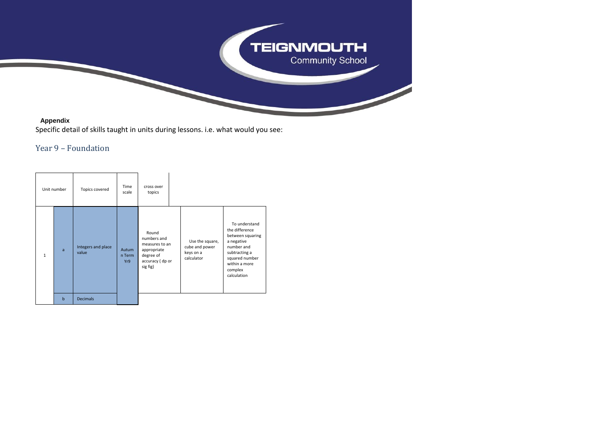

#### **Appendix**

Specific detail of skills taught in units during lessons. i.e. what would you see:

#### Year 9 – Foundation

| Unit number  |             | Topics covered              | Time<br>scale          | cross over<br>topics                                                                              |                                                              |                                                                                                                                                               |
|--------------|-------------|-----------------------------|------------------------|---------------------------------------------------------------------------------------------------|--------------------------------------------------------------|---------------------------------------------------------------------------------------------------------------------------------------------------------------|
| $\mathbf{1}$ | a           | Integers and place<br>value | Autum<br>n Term<br>Yr9 | Round<br>numbers and<br>measures to an<br>appropriate<br>degree of<br>accuracy (dp or<br>sig fig) | Use the square,<br>cube and power<br>keys on a<br>calculator | To understand<br>the difference<br>between squaring<br>a negative<br>number and<br>subtracting a<br>squared number<br>within a more<br>complex<br>calculation |
|              | $\mathbf b$ | <b>Decimals</b>             |                        |                                                                                                   |                                                              |                                                                                                                                                               |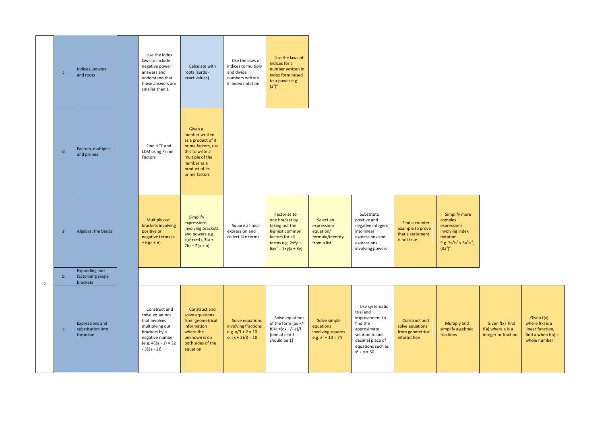| $\mathsf{C}$ | Indices, powers<br>and roots                            |          | Use the index<br>laws to include<br>negative power<br>answers and<br>understand that<br>these answers are<br>smaller than 1                       | Calculate with<br>roots (surds -<br>exact values)                                                                                                             | Use the laws of<br>indices to multiply<br>and divide<br>numbers written<br>in index notation | Use the laws of<br>indices for a<br>number written in<br>index form raised<br>to a power e.g.<br>$(3^2)^4$                                    |                                                                          |                                                                                                                                                        |                                                                        |                                                                                                                             |                                                               |                                                                                               |
|--------------|---------------------------------------------------------|----------|---------------------------------------------------------------------------------------------------------------------------------------------------|---------------------------------------------------------------------------------------------------------------------------------------------------------------|----------------------------------------------------------------------------------------------|-----------------------------------------------------------------------------------------------------------------------------------------------|--------------------------------------------------------------------------|--------------------------------------------------------------------------------------------------------------------------------------------------------|------------------------------------------------------------------------|-----------------------------------------------------------------------------------------------------------------------------|---------------------------------------------------------------|-----------------------------------------------------------------------------------------------|
| $\mathsf{d}$ | Factors, multiples<br>and primes                        |          | Find HCF and<br><b>LCM</b> using Prime<br>Factors                                                                                                 | Given a<br>number written<br>as a product of it<br>prime factors, use<br>this to write a<br>multiple of the<br>number as a<br>product of its<br>prime factors |                                                                                              |                                                                                                                                               |                                                                          |                                                                                                                                                        |                                                                        |                                                                                                                             |                                                               |                                                                                               |
| a            | Algebra: the basics                                     |          | Multiply out<br>brackets involving<br>positive or<br>negative terms (a<br>$\pm b$ )(c $\pm d$ )                                                   | Simplify<br>expressions<br>involving brackets<br>and powers e.g.<br>$x(x^2+x+4)$ , 3(a +<br>$2b) - 2(a + b)$                                                  | Square a linear<br>expression and<br>collect like terms                                      | <b>Factorise to</b><br>one bracket by<br>taking out the<br>highest common<br>factors for all<br>terms e.g. $2x^2y +$<br>$6xy^2 = 2xy(x + 3y)$ | Select an<br>expression/<br>equation/<br>formula/identity<br>from a list | Substitute<br>positive and<br>negative integers<br>into linear<br>expressions and<br>expressions<br>involving powers                                   | Find a counter-<br>example to prove<br>that a statement<br>is not true | Simplify more<br>complex<br>expressions<br>involving index<br>notation.<br>E.g. $3a^4b^2 \times 5a^3b^{-1}$ ,<br>$(3a^4)^2$ |                                                               |                                                                                               |
| $\mathbf b$  | <b>Expanding and</b><br>factorising single              |          |                                                                                                                                                   |                                                                                                                                                               |                                                                                              |                                                                                                                                               |                                                                          |                                                                                                                                                        |                                                                        |                                                                                                                             |                                                               |                                                                                               |
| $\mathsf{c}$ | <b>Expressions and</b><br>substitution into<br>formulae |          | Construct and<br>solve equations<br>that involves<br>multiplying out<br>brackets by a<br>negative number<br>$(e.g. 4(2a - 1) = 32)$<br>$-3(2a-2)$ | Construct and<br>solve equations<br>from geometrical<br>information<br>where the<br>unknown is on<br>both sides of the<br>equation                            | Solve equations<br>involving fractions<br>e.g. $x/3 + 2 = 10$<br>or $(x + 2)/3 = 10$         | Solve equations<br>of the form (ax $+/-$<br>b)/c =(dx +/- e)/f<br>[one of c or f<br>should be 1]                                              | Solve simple<br>equations<br>involving squares<br>e.g. $x^2 + 10 = 74$   | Use systematic<br>trial and<br>improvement to<br>find the<br>approximate<br>solution to one<br>decimal place of<br>equations such as<br>$x^3 + x = 50$ | Construct and<br>solve equations<br>from geometrical<br>information    | Multiply and<br>simplify algebraic<br>fractions                                                                             | Given f(x) find<br>$f(a)$ where a is a<br>integer or fraction | Given $f(x)$<br>where $f(x)$ is a<br>linear function,<br>find a when $f(a) =$<br>whole number |
|              |                                                         | brackets |                                                                                                                                                   |                                                                                                                                                               |                                                                                              |                                                                                                                                               |                                                                          |                                                                                                                                                        |                                                                        |                                                                                                                             |                                                               |                                                                                               |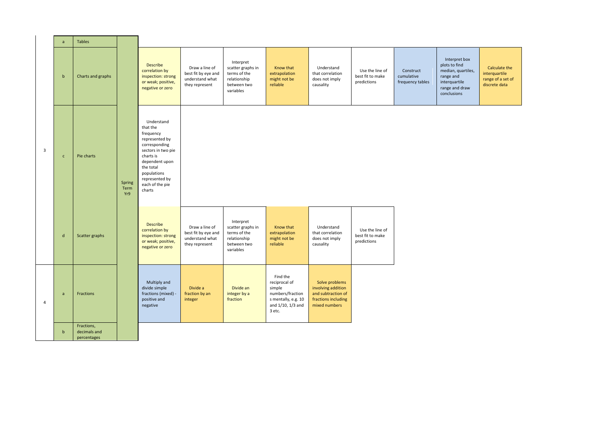|                | a            | <b>Tables</b>                             |                       |                                                                                                                                                                                                        |                                                                            |                                                                                            |                                                                                                               |                                                                                                    |                                                    |                                             |                                                                                                                     |                                                                      |
|----------------|--------------|-------------------------------------------|-----------------------|--------------------------------------------------------------------------------------------------------------------------------------------------------------------------------------------------------|----------------------------------------------------------------------------|--------------------------------------------------------------------------------------------|---------------------------------------------------------------------------------------------------------------|----------------------------------------------------------------------------------------------------|----------------------------------------------------|---------------------------------------------|---------------------------------------------------------------------------------------------------------------------|----------------------------------------------------------------------|
|                | $\mathbf b$  | Charts and graphs                         |                       | <b>Describe</b><br>correlation by<br>inspection: strong<br>or weak; positive,<br>negative or zero                                                                                                      | Draw a line of<br>best fit by eye and<br>understand what<br>they represent | Interpret<br>scatter graphs in<br>terms of the<br>relationship<br>between two<br>variables | Know that<br>extrapolation<br>might not be<br>reliable                                                        | Understand<br>that correlation<br>does not imply<br>causality                                      | Use the line of<br>best fit to make<br>predictions | Construct<br>cumulative<br>frequency tables | Interpret box<br>plots to find<br>median, quartiles,<br>range and<br>interquartile<br>range and draw<br>conclusions | Calculate the<br>interquartile<br>range of a set of<br>discrete data |
| $\overline{3}$ | $\mathsf{C}$ | Pie charts                                | Spring<br>Term<br>Yr9 | Understand<br>that the<br>frequency<br>represented by<br>corresponding<br>sectors in two pie<br>charts is<br>dependent upon<br>the total<br>populations<br>represented by<br>each of the pie<br>charts |                                                                            |                                                                                            |                                                                                                               |                                                                                                    |                                                    |                                             |                                                                                                                     |                                                                      |
|                | $\mathsf{d}$ | Scatter graphs                            |                       | <b>Describe</b><br>correlation by<br>inspection: strong<br>or weak; positive,<br>negative or zero                                                                                                      | Draw a line of<br>best fit by eye and<br>understand what<br>they represent | Interpret<br>scatter graphs in<br>terms of the<br>relationship<br>between two<br>variables | Know that<br>extrapolation<br>might not be<br>reliable                                                        | Understand<br>that correlation<br>does not imply<br>causality                                      | Use the line of<br>best fit to make<br>predictions |                                             |                                                                                                                     |                                                                      |
| $\overline{4}$ | a            | <b>Fractions</b>                          |                       | Multiply and<br>divide simple<br>fractions (mixed) -<br>positive and<br>negative                                                                                                                       | Divide a<br>fraction by an<br>integer                                      | Divide an<br>integer by a<br>fraction                                                      | Find the<br>reciprocal of<br>simple<br>numbers/fraction<br>s mentally, e.g. 10<br>and 1/10, 1/3 and<br>3 etc. | Solve problems<br>involving addition<br>and subtraction of<br>fractions including<br>mixed numbers |                                                    |                                             |                                                                                                                     |                                                                      |
|                | $\mathbf b$  | Fractions,<br>decimals and<br>percentages |                       |                                                                                                                                                                                                        |                                                                            |                                                                                            |                                                                                                               |                                                                                                    |                                                    |                                             |                                                                                                                     |                                                                      |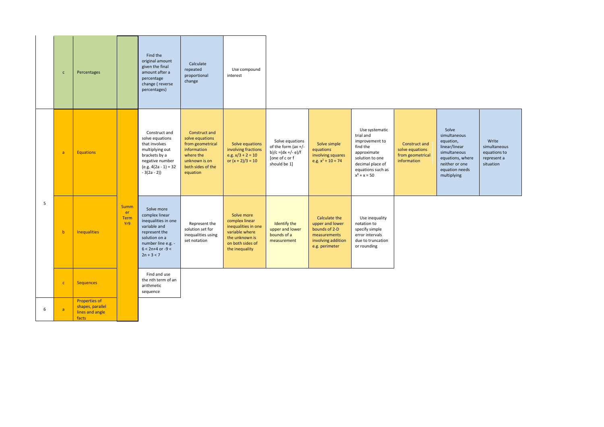|   | $\mathsf{c}$   | Percentages                                                          |                                  | Find the<br>original amount<br>given the final<br>amount after a<br>percentage<br>change (reverse<br>percentages)                                                   | Calculate<br>repeated<br>proportional<br>change                                                                                    | Use compound<br>interest                                                                                                      |                                                                                                |                                                                                                           |                                                                                                                                                        |                                                                     |                                                                                                                                            |                                                                   |
|---|----------------|----------------------------------------------------------------------|----------------------------------|---------------------------------------------------------------------------------------------------------------------------------------------------------------------|------------------------------------------------------------------------------------------------------------------------------------|-------------------------------------------------------------------------------------------------------------------------------|------------------------------------------------------------------------------------------------|-----------------------------------------------------------------------------------------------------------|--------------------------------------------------------------------------------------------------------------------------------------------------------|---------------------------------------------------------------------|--------------------------------------------------------------------------------------------------------------------------------------------|-------------------------------------------------------------------|
|   | $\overline{a}$ | <b>Equations</b>                                                     |                                  | Construct and<br>solve equations<br>that involves<br>multiplying out<br>brackets by a<br>negative number<br>$(e.g. 4(2a - 1) = 32)$<br>$-3(2a-2)$                   | Construct and<br>solve equations<br>from geometrical<br>information<br>where the<br>unknown is on<br>both sides of the<br>equation | Solve equations<br>involving fractions<br>e.g. $x/3 + 2 = 10$<br>or $(x + 2)/3 = 10$                                          | Solve equations<br>of the form (ax +/-<br>b)/c =(dx +/- e)/f<br>[one of c or f<br>should be 1] | Solve simple<br>equations<br>involving squares<br>e.g. $x^2 + 10 = 74$                                    | Use systematic<br>trial and<br>improvement to<br>find the<br>approximate<br>solution to one<br>decimal place of<br>equations such as<br>$x^3 + x = 50$ | Construct and<br>solve equations<br>from geometrical<br>information | Solve<br>simultaneous<br>equation,<br>linear/linear<br>simultaneous<br>equations, where<br>neither or one<br>equation needs<br>multiplying | Write<br>simultaneous<br>equations to<br>represent a<br>situation |
| 5 | $\mathbf b$    | <b>Inequalities</b>                                                  | <b>Summ</b><br>er<br>Term<br>Yr9 | Solve more<br>complex linear<br>inequalities in one<br>variable and<br>represent the<br>solution on a<br>number line e.g. -<br>$6 < 2n+4$ or $-9 <$<br>$2n + 3 < 7$ | Represent the<br>solution set for<br>inequalities using<br>set notation                                                            | Solve more<br>complex linear<br>inequalities in one<br>variable where<br>the unknown is<br>on both sides of<br>the inequality | Identify the<br>upper and lower<br>bounds of a<br>measurement                                  | Calculate the<br>upper and lower<br>bounds of 2-D<br>measurements<br>involving addition<br>e.g. perimeter | Use inequality<br>notation to<br>specify simple<br>error intervals<br>due to truncation<br>or rounding                                                 |                                                                     |                                                                                                                                            |                                                                   |
|   | $\mathbf{C}$   | <b>Sequences</b>                                                     |                                  | Find and use<br>the nth term of an<br>arithmetic<br>sequence                                                                                                        |                                                                                                                                    |                                                                                                                               |                                                                                                |                                                                                                           |                                                                                                                                                        |                                                                     |                                                                                                                                            |                                                                   |
| 6 | $\overline{a}$ | <b>Properties of</b><br>shapes, parallel<br>lines and angle<br>facts |                                  |                                                                                                                                                                     |                                                                                                                                    |                                                                                                                               |                                                                                                |                                                                                                           |                                                                                                                                                        |                                                                     |                                                                                                                                            |                                                                   |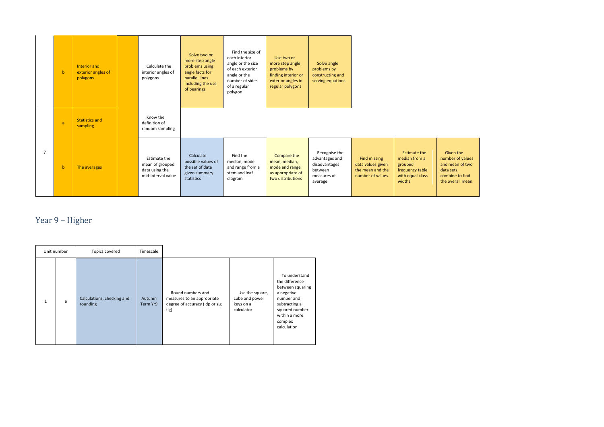|                | $\mathbf{b}$ | Interior and<br>exterior angles of<br>polygons | Calculate the<br>interior angles of<br>polygons                         | Solve two or<br>more step angle<br>problems using<br>angle facts for<br>parallel lines<br>including the use<br>of bearings | Find the size of<br>each interior<br>angle or the size<br>of each exterior<br>angle or the<br>number of sides<br>of a regular<br>polygon | Use two or<br>more step angle<br>problems by<br>finding interior or<br>exterior angles in<br>regular polygons | Solve angle<br>problems by<br>constructing and<br>solving equations                   |                                                                           |                                                                                                  |                                                                                                        |
|----------------|--------------|------------------------------------------------|-------------------------------------------------------------------------|----------------------------------------------------------------------------------------------------------------------------|------------------------------------------------------------------------------------------------------------------------------------------|---------------------------------------------------------------------------------------------------------------|---------------------------------------------------------------------------------------|---------------------------------------------------------------------------|--------------------------------------------------------------------------------------------------|--------------------------------------------------------------------------------------------------------|
|                | a            | <b>Statistics and</b><br>sampling              | Know the<br>definition of<br>random sampling                            |                                                                                                                            |                                                                                                                                          |                                                                                                               |                                                                                       |                                                                           |                                                                                                  |                                                                                                        |
| $\overline{7}$ | $\mathbf b$  | The averages                                   | Estimate the<br>mean of grouped<br>data using the<br>mid-interval value | Calculate<br>possible values of<br>the set of data<br>given summary<br>statistics                                          | Find the<br>median, mode<br>and range from a<br>stem and leaf<br>diagram                                                                 | Compare the<br>mean, median,<br>mode and range<br>as appropriate of<br>two distributions                      | Recognise the<br>advantages and<br>disadvantages<br>between<br>measures of<br>average | Find missing<br>data values given<br>the mean and the<br>number of values | <b>Estimate the</b><br>median from a<br>grouped<br>frequency table<br>with equal class<br>widths | Given the<br>number of values<br>and mean of two<br>data sets,<br>combine to find<br>the overall mean. |

## Year 9 – Higher

<span id="page-10-0"></span>

|   | Unit number | Topics covered                         | Timescale          |                                                                                          |                                                              |                                                                                                                                                               |
|---|-------------|----------------------------------------|--------------------|------------------------------------------------------------------------------------------|--------------------------------------------------------------|---------------------------------------------------------------------------------------------------------------------------------------------------------------|
| 1 | a           | Calculations, checking and<br>rounding | Autumn<br>Term Yr9 | Round numbers and<br>measures to an appropriate<br>degree of accuracy (dp or sig<br>fig) | Use the square,<br>cube and power<br>keys on a<br>calculator | To understand<br>the difference<br>between squaring<br>a negative<br>number and<br>subtracting a<br>squared number<br>within a more<br>complex<br>calculation |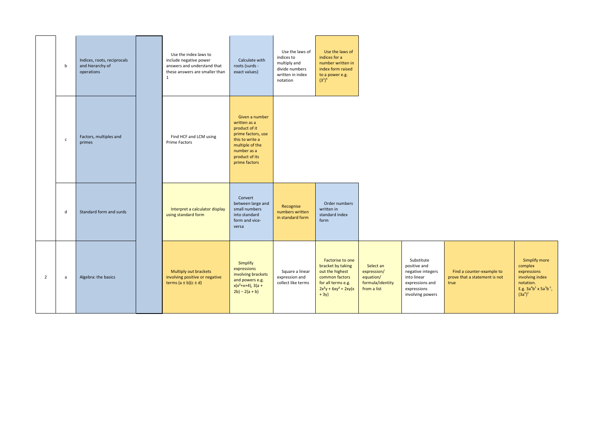|                | b            | Indices, roots, reciprocals<br>and hierarchy of<br>operations | Use the index laws to<br>include negative power<br>answers and understand that<br>these answers are smaller than<br>$\mathbf{1}$ | Calculate with<br>roots (surds -<br>exact values)                                                                                                             | Use the laws of<br>indices to<br>multiply and<br>divide numbers<br>written in index<br>notation | Use the laws of<br>indices for a<br>number written in<br>index form raised<br>to a power e.g.<br>$(3^2)^4$                           |                                                                          |                                                                                                                      |                                                                    |                                                                                                                             |
|----------------|--------------|---------------------------------------------------------------|----------------------------------------------------------------------------------------------------------------------------------|---------------------------------------------------------------------------------------------------------------------------------------------------------------|-------------------------------------------------------------------------------------------------|--------------------------------------------------------------------------------------------------------------------------------------|--------------------------------------------------------------------------|----------------------------------------------------------------------------------------------------------------------|--------------------------------------------------------------------|-----------------------------------------------------------------------------------------------------------------------------|
|                | $\mathsf{c}$ | Factors, multiples and<br>primes                              | Find HCF and LCM using<br><b>Prime Factors</b>                                                                                   | Given a number<br>written as a<br>product of it<br>prime factors, use<br>this to write a<br>multiple of the<br>number as a<br>product of its<br>prime factors |                                                                                                 |                                                                                                                                      |                                                                          |                                                                                                                      |                                                                    |                                                                                                                             |
|                | d            | Standard form and surds                                       | Interpret a calculator display<br>using standard form                                                                            | Convert<br>between large and<br>small numbers<br>into standard<br>form and vice-<br>versa                                                                     | Recognise<br>numbers written<br>in standard form                                                | Order numbers<br>written in<br>standard index<br>form                                                                                |                                                                          |                                                                                                                      |                                                                    |                                                                                                                             |
| $\overline{2}$ | a            | Algebra: the basics                                           | Multiply out brackets<br>involving positive or negative<br>terms $(a \pm b)(c \pm d)$                                            | Simplify<br>expressions<br>involving brackets<br>and powers e.g.<br>$x(x^2+x+4)$ , 3(a +<br>$2b) - 2(a + b)$                                                  | Square a linear<br>expression and<br>collect like terms                                         | Factorise to one<br>bracket by taking<br>out the highest<br>common factors<br>for all terms e.g.<br>$2x^2y + 6xy^2 = 2xy(x$<br>$+3y$ | Select an<br>expression/<br>equation/<br>formula/identity<br>from a list | Substitute<br>positive and<br>negative integers<br>into linear<br>expressions and<br>expressions<br>involving powers | Find a counter-example to<br>prove that a statement is not<br>true | Simplify more<br>complex<br>expressions<br>involving index<br>notation.<br>E.g. $3a^4b^2 \times 5a^3b^{-1}$ ,<br>$(3a^4)^2$ |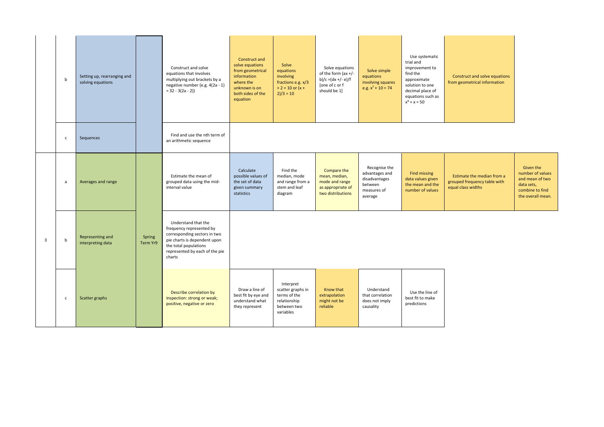|                | b            | Setting up, rearranging and<br>solving equations |                    | Construct and solve<br>equations that involves<br>multiplying out brackets by a<br>negative number (e.g. 4(2a - 1)<br>$= 32 - 3(2a - 2)$                                             | Construct and<br>solve equations<br>from geometrical<br>information<br>where the<br>unknown is on<br>both sides of the<br>equation | Solve<br>equations<br>involving<br>fractions e.g. x/3<br>$+ 2 = 10$ or $(x +$<br>$2)/3 = 10$ | Solve equations<br>of the form (ax +/-<br>b)/c =(dx +/- e)/f<br>[one of c or f<br>should be 1] | Solve simple<br>equations<br>involving squares<br>e.g. $x^2 + 10 = 74$                | Use systematic<br>trial and<br>improvement to<br>find the<br>approximate<br>solution to one<br>decimal place of<br>equations such as<br>$x^3 + x = 50$ | Construct and solve equations<br>from geometrical information                    |                                                                                                        |
|----------------|--------------|--------------------------------------------------|--------------------|--------------------------------------------------------------------------------------------------------------------------------------------------------------------------------------|------------------------------------------------------------------------------------------------------------------------------------|----------------------------------------------------------------------------------------------|------------------------------------------------------------------------------------------------|---------------------------------------------------------------------------------------|--------------------------------------------------------------------------------------------------------------------------------------------------------|----------------------------------------------------------------------------------|--------------------------------------------------------------------------------------------------------|
|                | $\mathsf{C}$ | Sequences                                        |                    | Find and use the nth term of<br>an arithmetic sequence                                                                                                                               |                                                                                                                                    |                                                                                              |                                                                                                |                                                                                       |                                                                                                                                                        |                                                                                  |                                                                                                        |
|                | a            | Averages and range                               |                    | Estimate the mean of<br>grouped data using the mid-<br>interval value                                                                                                                | Calculate<br>possible values of<br>the set of data<br>given summary<br>statistics                                                  | Find the<br>median, mode<br>and range from a<br>stem and leaf<br>diagram                     | Compare the<br>mean, median,<br>mode and range<br>as appropriate of<br>two distributions       | Recognise the<br>advantages and<br>disadvantages<br>between<br>measures of<br>average | Find missing<br>data values given<br>the mean and the<br>number of values                                                                              | Estimate the median from a<br>grouped frequency table with<br>equal class widths | Given the<br>number of values<br>and mean of two<br>data sets,<br>combine to find<br>the overall mean. |
| $\overline{3}$ | $\mathsf b$  | Representing and<br>interpreting data            | Spring<br>Term Yr9 | Understand that the<br>frequency represented by<br>corresponding sectors in two<br>pie charts is dependent upon<br>the total populations<br>represented by each of the pie<br>charts |                                                                                                                                    |                                                                                              |                                                                                                |                                                                                       |                                                                                                                                                        |                                                                                  |                                                                                                        |
|                | $\mathsf{C}$ | Scatter graphs                                   |                    | Describe correlation by<br>inspection: strong or weak;<br>positive, negative or zero                                                                                                 | Draw a line of<br>best fit by eye and<br>understand what<br>they represent                                                         | Interpret<br>scatter graphs in<br>terms of the<br>relationship<br>between two<br>variables   | Know that<br>extrapolation<br>might not be<br>reliable                                         | Understand<br>that correlation<br>does not imply<br>causality                         | Use the line of<br>best fit to make<br>predictions                                                                                                     |                                                                                  |                                                                                                        |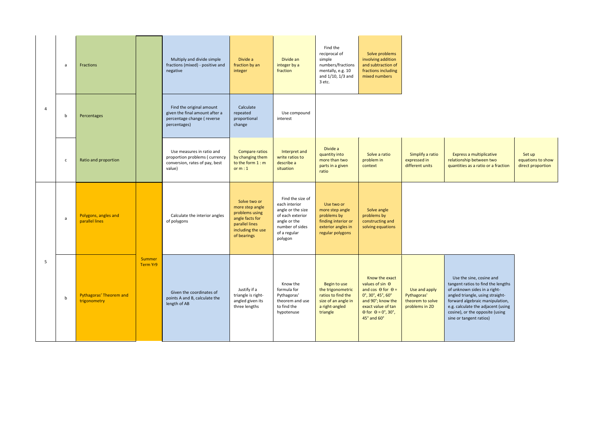|                | a            | Fractions                               |                    | Multiply and divide simple<br>fractions (mixed) - positive and<br>negative                               | Divide a<br>fraction by an<br>integer                                                                                      | Divide an<br>integer by a<br>fraction                                                                                                    | Find the<br>reciprocal of<br>simple<br>numbers/fractions<br>mentally, e.g. 10<br>and $1/10$ , $1/3$ and<br>3 etc. | Solve problems<br>involving addition<br>and subtraction of<br>fractions including<br>mixed numbers                                                                                                                                     |                                                                    |                                                                                                                                                                                                                                                                           |                                                  |
|----------------|--------------|-----------------------------------------|--------------------|----------------------------------------------------------------------------------------------------------|----------------------------------------------------------------------------------------------------------------------------|------------------------------------------------------------------------------------------------------------------------------------------|-------------------------------------------------------------------------------------------------------------------|----------------------------------------------------------------------------------------------------------------------------------------------------------------------------------------------------------------------------------------|--------------------------------------------------------------------|---------------------------------------------------------------------------------------------------------------------------------------------------------------------------------------------------------------------------------------------------------------------------|--------------------------------------------------|
| $\overline{a}$ | $\mathbf b$  | Percentages                             |                    | Find the original amount<br>given the final amount after a<br>percentage change (reverse<br>percentages) | Calculate<br>repeated<br>proportional<br>change                                                                            | Use compound<br>interest                                                                                                                 |                                                                                                                   |                                                                                                                                                                                                                                        |                                                                    |                                                                                                                                                                                                                                                                           |                                                  |
|                | $\mathsf{C}$ | Ratio and proportion                    |                    | Use measures in ratio and<br>proportion problems (currency<br>conversion, rates of pay, best<br>value)   | Compare ratios<br>by changing them<br>to the form 1 : m<br>or $m:1$                                                        | Interpret and<br>write ratios to<br>describe a<br>situation                                                                              | Divide a<br>quantity into<br>more than two<br>parts in a given<br>ratio                                           | Solve a ratio<br>problem in<br>context                                                                                                                                                                                                 | Simplify a ratio<br>expressed in<br>different units                | Express a multiplicative<br>relationship between two<br>quantities as a ratio or a fraction                                                                                                                                                                               | Set up<br>equations to show<br>direct proportion |
| 5              | $\mathsf{a}$ | Polygons, angles and<br>parallel lines  |                    | Calculate the interior angles<br>of polygons                                                             | Solve two or<br>more step angle<br>problems using<br>angle facts for<br>parallel lines<br>including the use<br>of bearings | Find the size of<br>each interior<br>angle or the size<br>of each exterior<br>angle or the<br>number of sides<br>of a regular<br>polygon | Use two or<br>more step angle<br>problems by<br>finding interior or<br>exterior angles in<br>regular polygons     | Solve angle<br>problems by<br>constructing and<br>solving equations                                                                                                                                                                    |                                                                    |                                                                                                                                                                                                                                                                           |                                                  |
|                | $\mathbf b$  | Pythagoras' Theorem and<br>trigonometry | Summer<br>Term Yr9 | Given the coordinates of<br>points A and B, calculate the<br>length of AB                                | Justify if a<br>triangle is right-<br>angled given its<br>three lengths                                                    | Know the<br>formula for<br>Pythagoras'<br>theorem and use<br>to find the<br>hypotenuse                                                   | Begin to use<br>the trigonometric<br>ratios to find the<br>size of an angle in<br>a right-angled<br>triangle      | Know the exact<br>values of sin $\Theta$<br>and cos $\theta$ for $\theta$ =<br>$0^\circ$ , 30 $^\circ$ , 45 $^\circ$ , 60 $^\circ$<br>and 90°; know the<br>exact value of tan<br>$\theta$ for $\theta = 0^\circ$ , 30°,<br>45° and 60° | Use and apply<br>Pythagoras'<br>theorem to solve<br>problems in 2D | Use the sine, cosine and<br>tangent ratios to find the lengths<br>of unknown sides in a right-<br>angled triangle, using straight-<br>forward algebraic manipulation,<br>e.g. calculate the adjacent (using<br>cosine), or the opposite (using<br>sine or tangent ratios) |                                                  |